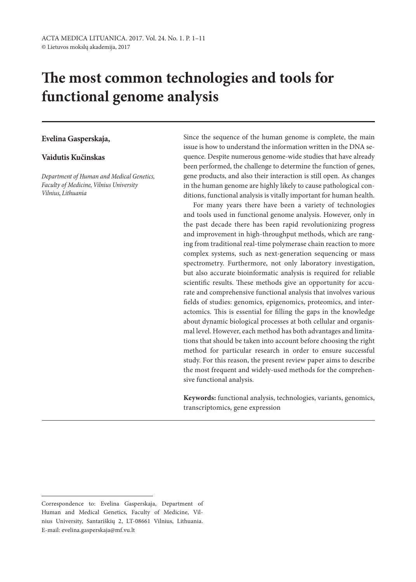# **The most common technologies and tools for functional genome analysis**

## **Evelina Gasperskaja,**

### **Vaidutis Kučinskas**

*Department of Human and Medical Genetics, Faculty of Medicine, Vilnius University Vilnius, Lithuania*

Since the sequence of the human genome is complete, the main issue is how to understand the information written in the DNA sequence. Despite numerous genome-wide studies that have already been performed, the challenge to determine the function of genes, gene products, and also their interaction is still open. As changes in the human genome are highly likely to cause pathological conditions, functional analysis is vitally important for human health.

For many years there have been a variety of technologies and tools used in functional genome analysis. However, only in the past decade there has been rapid revolutionizing progress and improvement in high-throughput methods, which are ranging from traditional real-time polymerase chain reaction to more complex systems, such as next-generation sequencing or mass spectrometry. Furthermore, not only laboratory investigation, but also accurate bioinformatic analysis is required for reliable scientific results. These methods give an opportunity for accurate and comprehensive functional analysis that involves various fields of studies: genomics, epigenomics, proteomics, and interactomics. This is essential for filling the gaps in the knowledge about dynamic biological processes at both cellular and organismal level. However, each method has both advantages and limitations that should be taken into account before choosing the right method for particular research in order to ensure successful study. For this reason, the present review paper aims to describe the most frequent and widely-used methods for the comprehensive functional analysis.

**Keywords:** functional analysis, technologies, variants, genomics, transcriptomics, gene expression

Correspondence to: Evelina Gasperskaja, Department of Human and Medical Genetics, Faculty of Medicine, Vilnius University, Santariškių 2, LT-08661 Vilnius, Lithuania. E-mail: evelina.gasperskaja@mf.vu.lt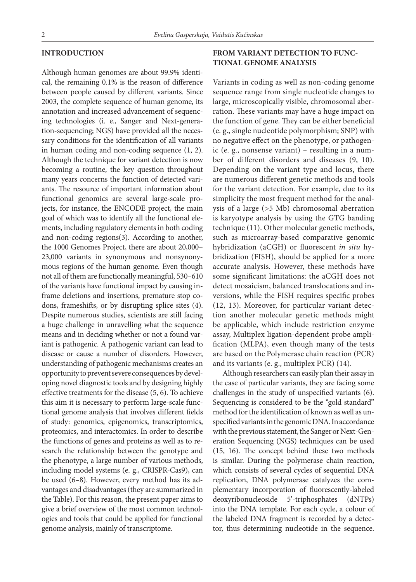#### **INTRODUCTION**

Although human genomes are about 99.9% identical, the remaining 0.1% is the reason of difference between people caused by different variants. Since 2003, the complete sequence of human genome, its annotation and increased advancement of sequencing technologies (i. e., Sanger and Next-generation-sequencing; NGS) have provided all the necessary conditions for the identification of all variants in human coding and non-coding sequence (1, 2). Although the technique for variant detection is now becoming a routine, the key question throughout many years concerns the function of detected variants. The resource of important information about functional genomics are several large-scale projects, for instance, the ENCODE project, the main goal of which was to identify all the functional elements, including regulatory elements in both coding and non-coding regions(3). According to another, the 1000 Genomes Project, there are about 20,000– 23,000 variants in synonymous and nonsynonymous regions of the human genome. Even though not all of them are functionally meaningful, 530–610 of the variants have functional impact by causing inframe deletions and insertions, premature stop codons, frameshifts, or by disrupting splice sites (4). Despite numerous studies, scientists are still facing a huge challenge in unravelling what the sequence means and in deciding whether or not a found variant is pathogenic. A pathogenic variant can lead to disease or cause a number of disorders. However, understanding of pathogenic mechanisms creates an opportunity to prevent severe consequences by developing novel diagnostic tools and by designing highly effective treatments for the disease (5, 6). To achieve this aim it is necessary to perform large-scale functional genome analysis that involves different fields of study: genomics, epigenomics, transcriptomics, proteomics, and interactomics. In order to describe the functions of genes and proteins as well as to research the relationship between the genotype and the phenotype, a large number of various methods, including model systems (e. g., CRISPR-Cas9), can be used (6–8). However, every method has its advantages and disadvantages (they are summarized in the Table). For this reason, the present paper aims to give a brief overview of the most common technologies and tools that could be applied for functional genome analysis, mainly of transcriptome.

# **FROM VARIANT DETECTION TO FUNC-TIONAL GENOME ANALYSIS**

Variants in coding as well as non-coding genome sequence range from single nucleotide changes to large, microscopically visible, chromosomal aberration. These variants may have a huge impact on the function of gene. They can be either beneficial (e. g., single nucleotide polymorphism; SNP) with no negative effect on the phenotype, or pathogenic (e. g., nonsense variant) – resulting in a number of different disorders and diseases (9, 10). Depending on the variant type and locus, there are numerous different genetic methods and tools for the variant detection. For example, due to its simplicity the most frequent method for the analysis of a large (>5 Mb) chromosomal aberration is karyotype analysis by using the GTG banding technique (11). Other molecular genetic methods, such as microarray-based comparative genomic hybridization (aCGH) or fluorescent *in situ* hybridization (FISH), should be applied for a more accurate analysis. However, these methods have some significant limitations: the aCGH does not detect mosaicism, balanced translocations and inversions, while the FISH requires specific probes (12, 13). Moreover, for particular variant detection another molecular genetic methods might be applicable, which include restriction enzyme assay, Multiplex ligation-dependent probe amplification (MLPA), even though many of the tests are based on the Polymerase chain reaction (PCR) and its variants (e. g., multiplex PCR) (14).

Although researchers can easily plan their assay in the case of particular variants, they are facing some challenges in the study of unspecified variants (6). Sequencing is considered to be the "gold standard" method for the identification of known as well as unspecified variants in the genomic DNA. In accordance with the previous statement, the Sanger or Next-Generation Sequencing (NGS) techniques can be used (15, 16). The concept behind these two methods is similar. During the polymerase chain reaction, which consists of several cycles of sequential DNA replication, DNA polymerase catalyzes the complementary incorporation of fluorescently-labeled deoxyribonucleoside 5'-triphosphates (dNTPs) into the DNA template. For each cycle, a colour of the labeled DNA fragment is recorded by a detector, thus determining nucleotide in the sequence.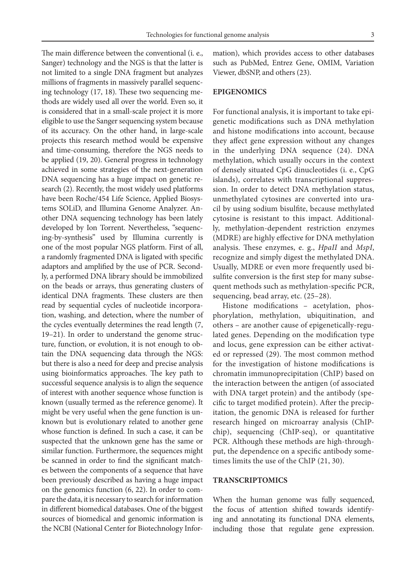The main difference between the conventional (i. e., Sanger) technology and the NGS is that the latter is not limited to a single DNA fragment but analyzes millions of fragments in massively parallel sequencing technology (17, 18). These two sequencing methods are widely used all over the world. Even so, it is considered that in a small-scale project it is more eligible to use the Sanger sequencing system because of its accuracy. On the other hand, in large-scale projects this research method would be expensive and time-consuming, therefore the NGS needs to be applied (19, 20). General progress in technology achieved in some strategies of the next-generation DNA sequencing has a huge impact on genetic research (2). Recently, the most widely used platforms have been Roche/454 Life Science, Applied Biosystems SOLiD, and Illumina Genome Analyzer. Another DNA sequencing technology has been lately developed by Ion Torrent. Nevertheless, "sequencing-by-synthesis" used by Illumina currently is one of the most popular NGS platform. First of all, a randomly fragmented DNA is ligated with specific adaptors and amplified by the use of PCR. Secondly, a performed DNA library should be immobilized on the beads or arrays, thus generating clusters of identical DNA fragments. These clusters are then read by sequential cycles of nucleotide incorporation, washing, and detection, where the number of the cycles eventually determines the read length (7, 19–21). In order to understand the genome structure, function, or evolution, it is not enough to obtain the DNA sequencing data through the NGS: but there is also a need for deep and precise analysis using bioinformatics approaches. The key path to successful sequence analysis is to align the sequence of interest with another sequence whose function is known (usually termed as the reference genome). It might be very useful when the gene function is unknown but is evolutionary related to another gene whose function is defined. In such a case, it can be suspected that the unknown gene has the same or similar function. Furthermore, the sequences might be scanned in order to find the significant matches between the components of a sequence that have been previously described as having a huge impact on the genomics function (6, 22). In order to compare the data, it is necessary to search for information in different biomedical databases. One of the biggest sources of biomedical and genomic information is the NCBI (National Center for Biotechnology Information), which provides access to other databases such as PubMed, Entrez Gene, OMIM, Variation Viewer, dbSNP, and others (23).

## **EPIGENOMICS**

For functional analysis, it is important to take epigenetic modifications such as DNA methylation and histone modifications into account, because they affect gene expression without any changes in the underlying DNA sequence (24). DNA methylation, which usually occurs in the context of densely situated CpG dinucleotides (i. e., CpG islands), correlates with transcriptional suppression. In order to detect DNA methylation status, unmethylated cytosines are converted into uracil by using sodium bisulfite, because methylated cytosine is resistant to this impact. Additionally, methylation-dependent restriction enzymes (MDRE) are highly effective for DNA methylation analysis. These enzymes, e. g., *HpaII* and *MspI*, recognize and simply digest the methylated DNA. Usually, MDRE or even more frequently used bisulfite conversion is the first step for many subsequent methods such as methylation-specific PCR, sequencing, bead array, etc. (25–28).

Histone modifications – acetylation, phosphorylation, methylation, ubiquitination, and others – are another cause of epigenetically-regulated genes. Depending on the modification type and locus, gene expression can be either activated or repressed (29). The most common method for the investigation of histone modifications is chromatin immunoprecipitation (ChIP) based on the interaction between the antigen (of associated with DNA target protein) and the antibody (specific to target modified protein). After the precipitation, the genomic DNA is released for further research hinged on microarray analysis (ChIPchip), sequencing (ChIP-seq), or quantitative PCR. Although these methods are high-throughput, the dependence on a specific antibody sometimes limits the use of the ChIP (21, 30).

#### **TRANSCRIPTOMICS**

When the human genome was fully sequenced, the focus of attention shifted towards identifying and annotating its functional DNA elements, including those that regulate gene expression.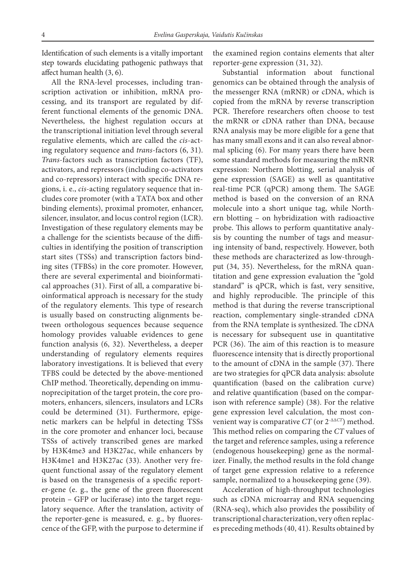Identification of such elements is a vitally important step towards elucidating pathogenic pathways that affect human health (3, 6).

All the RNA-level processes, including transcription activation or inhibition, mRNA processing, and its transport are regulated by different functional elements of the genomic DNA. Nevertheless, the highest regulation occurs at the transcriptional initiation level through several regulative elements, which are called the *cis*-acting regulatory sequence and *trans*-factors (6, 31). *Trans*-factors such as transcription factors (TF), activators, and repressors (including co-activators and co-repressors) interact with specific DNA regions, i. e., *cis*-acting regulatory sequence that includes core promoter (with a TATA box and other binding elements), proximal promoter, enhancer, silencer, insulator, and locus control region (LCR). Investigation of these regulatory elements may be a challenge for the scientists because of the difficulties in identifying the position of transcription start sites (TSSs) and transcription factors binding sites (TFBSs) in the core promoter. However, there are several experimental and bioinformatical approaches (31). First of all, a comparative bioinformatical approach is necessary for the study of the regulatory elements. This type of research is usually based on constructing alignments between orthologous sequences because sequence homology provides valuable evidences to gene function analysis (6, 32). Nevertheless, a deeper understanding of regulatory elements requires laboratory investigations. It is believed that every TFBS could be detected by the above-mentioned ChIP method. Theoretically, depending on immunoprecipitation of the target protein, the core promoters, enhancers, silencers, insulators and LCRs could be determined (31). Furthermore, epigenetic markers can be helpful in detecting TSSs in the core promoter and enhancer loci, because TSSs of actively transcribed genes are marked by H3K4me3 and H3K27ac, while enhancers by H3K4me1 and H3K27ac (33). Another very frequent functional assay of the regulatory element is based on the transgenesis of a specific reporter-gene (e. g., the gene of the green fluorescent protein – GFP or luciferase) into the target regulatory sequence. After the translation, activity of the reporter-gene is measured, e. g., by fluorescence of the GFP, with the purpose to determine if

the examined region contains elements that alter reporter-gene expression (31, 32).

Substantial information about functional genomics can be obtained through the analysis of the messenger RNA (mRNR) or cDNA, which is copied from the mRNA by reverse transcription PCR. Therefore researchers often choose to test the mRNR or cDNA rather than DNA, because RNA analysis may be more eligible for a gene that has many small exons and it can also reveal abnormal splicing (6). For many years there have been some standard methods for measuring the mRNR expression: Northern blotting, serial analysis of gene expression (SAGE) as well as quantitative real-time PCR (qPCR) among them. The SAGE method is based on the conversion of an RNA molecule into a short unique tag, while Northern blotting – on hybridization with radioactive probe. This allows to perform quantitative analysis by counting the number of tags and measuring intensity of band, respectively. However, both these methods are characterized as low-throughput (34, 35). Nevertheless, for the mRNA quantitation and gene expression evaluation the "gold standard" is qPCR, which is fast, very sensitive, and highly reproducible. The principle of this method is that during the reverse transcriptional reaction, complementary single-stranded cDNA from the RNA template is synthesized. The cDNA is necessary for subsequent use in quantitative PCR (36). The aim of this reaction is to measure fluorescence intensity that is directly proportional to the amount of cDNA in the sample (37). There are two strategies for qPCR data analysis: absolute quantification (based on the calibration curve) and relative quantification (based on the comparison with reference sample) (38). For the relative gene expression level calculation, the most convenient way is comparative *CT* (or 2-ΔΔ*CT*) method. This method relies on comparing the *CT* values of the target and reference samples, using a reference (endogenous housekeeping) gene as the normalizer. Finally, the method results in the fold change of target gene expression relative to a reference sample, normalized to a housekeeping gene (39).

Acceleration of high-throughput technologies such as cDNA microarray and RNA sequencing (RNA-seq), which also provides the possibility of transcriptional characterization, very often replaces preceding methods (40, 41). Results obtained by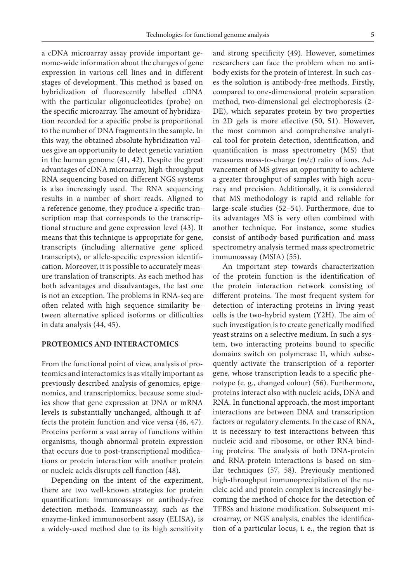a cDNA microarray assay provide important genome-wide information about the changes of gene expression in various cell lines and in different stages of development. This method is based on hybridization of fluorescently labelled cDNA with the particular oligonucleotides (probe) on the specific microarray. The amount of hybridization recorded for a specific probe is proportional to the number of DNA fragments in the sample. In this way, the obtained absolute hybridization values give an opportunity to detect genetic variation in the human genome (41, 42). Despite the great advantages of cDNA microarray, high-throughput RNA sequencing based on different NGS systems is also increasingly used. The RNA sequencing results in a number of short reads. Aligned to a reference genome, they produce a specific transcription map that corresponds to the transcriptional structure and gene expression level (43). It means that this technique is appropriate for gene, transcripts (including alternative gene spliced transcripts), or allele-specific expression identification. Moreover, it is possible to accurately measure translation of transcripts. As each method has both advantages and disadvantages, the last one is not an exception. The problems in RNA-seq are often related with high sequence similarity between alternative spliced isoforms or difficulties in data analysis (44, 45).

## **PROTEOMICS AND INTERACTOMICS**

From the functional point of view, analysis of proteomics and interactomics is as vitally important as previously described analysis of genomics, epigenomics, and transcriptomics, because some studies show that gene expression at DNA or mRNA levels is substantially unchanged, although it affects the protein function and vice versa (46, 47). Proteins perform a vast array of functions within organisms, though abnormal protein expression that occurs due to post-transcriptional modifications or protein interaction with another protein or nucleic acids disrupts cell function (48).

Depending on the intent of the experiment, there are two well-known strategies for protein quantification: immunoassays or antibody-free detection methods. Immunoassay, such as the enzyme-linked immunosorbent assay (ELISA), is a widely-used method due to its high sensitivity and strong specificity (49). However, sometimes researchers can face the problem when no antibody exists for the protein of interest. In such cases the solution is antibody-free methods. Firstly, compared to one-dimensional protein separation method, two-dimensional gel electrophoresis (2-DE), which separates protein by two properties in 2D gels is more effective (50, 51). However, the most common and comprehensive analytical tool for protein detection, identification, and quantification is mass spectrometry (MS) that measures mass-to-charge (*m/z*) ratio of ions. Advancement of MS gives an opportunity to achieve a greater throughput of samples with high accuracy and precision. Additionally, it is considered that MS methodology is rapid and reliable for large-scale studies (52–54). Furthermore, due to its advantages MS is very often combined with another technique. For instance, some studies consist of antibody-based purification and mass spectrometry analysis termed mass spectrometric immunoassay (MSIA) (55).

An important step towards characterization of the protein function is the identification of the protein interaction network consisting of different proteins. The most frequent system for detection of interacting proteins in living yeast cells is the two-hybrid system (Y2H). The aim of such investigation is to create genetically modified yeast strains on a selective medium. In such a system, two interacting proteins bound to specific domains switch on polymerase II, which subsequently activate the transcription of a reporter gene*,* whose transcription leads to a specific phenotype (e. g., changed colour) (56). Furthermore, proteins interact also with nucleic acids, DNA and RNA. In functional approach, the most important interactions are between DNA and transcription factors or regulatory elements. In the case of RNA, it is necessary to test interactions between this nucleic acid and ribosome, or other RNA binding proteins. The analysis of both DNA-protein and RNA-protein interactions is based on similar techniques (57, 58). Previously mentioned high-throughput immunoprecipitation of the nucleic acid and protein complex is increasingly becoming the method of choice for the detection of TFBSs and histone modification. Subsequent microarray, or NGS analysis, enables the identification of a particular locus, i. e., the region that is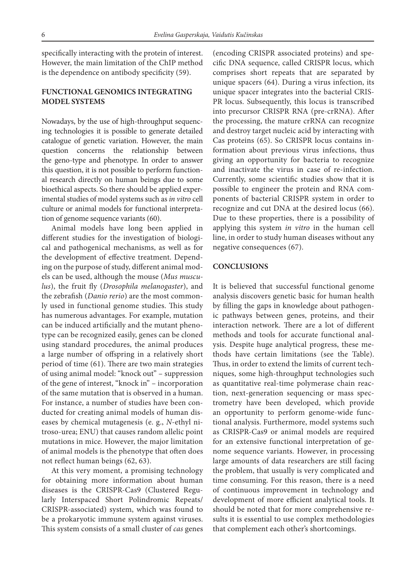specifically interacting with the protein of interest. However, the main limitation of the ChIP method is the dependence on antibody specificity (59).

## **FUNCTIONAL GENOMICS INTEGRATING MODEL SYSTEMS**

Nowadays, by the use of high-throughput sequencing technologies it is possible to generate detailed catalogue of genetic variation. However, the main question concerns the relationship between the geno-type and phenotype. In order to answer this question, it is not possible to perform functional research directly on human beings due to some bioethical aspects. So there should be applied experimental studies of model systems such as *in vitro* cell culture or animal models for functional interpretation of genome sequence variants (60).

Animal models have long been applied in different studies for the investigation of biological and pathogenical mechanisms, as well as for the development of effective treatment. Depending on the purpose of study, different animal models can be used, although the mouse (*Mus musculus*), the fruit fly (*Drosophila melanogaster*), and the zebrafish (*Danio rerio*) are the most commonly used in functional genome studies. This study has numerous advantages. For example, mutation can be induced artificially and the mutant phenotype can be recognized easily, genes can be cloned using standard procedures, the animal produces a large number of offspring in a relatively short period of time (61). There are two main strategies of using animal model: "knock out" – suppression of the gene of interest, "knock in" – incorporation of the same mutation that is observed in a human. For instance, a number of studies have been conducted for creating animal models of human diseases by chemical mutagenesis (e. g., *N*-ethyl nitroso-urea; ENU) that causes random allelic point mutations in mice. However, the major limitation of animal models is the phenotype that often does not reflect human beings (62, 63).

At this very moment, a promising technology for obtaining more information about human diseases is the CRISPR-Cas9 (Clustered Regularly Interspaced Short Polindromic Repeats/ CRISPR-associated) system, which was found to be a prokaryotic immune system against viruses. This system consists of a small cluster of *cas* genes

(encoding CRISPR associated proteins) and specific DNA sequence, called CRISPR locus, which comprises short repeats that are separated by unique spacers (64). During a virus infection, its unique spacer integrates into the bacterial CRIS-PR locus. Subsequently, this locus is transcribed into precursor CRISPR RNA (pre-crRNA). After the processing, the mature crRNA can recognize and destroy target nucleic acid by interacting with Cas proteins (65). So CRISPR locus contains information about previous virus infections, thus giving an opportunity for bacteria to recognize and inactivate the virus in case of re-infection. Currently, some scientific studies show that it is possible to engineer the protein and RNA components of bacterial CRISPR system in order to recognize and cut DNA at the desired locus (66). Due to these properties, there is a possibility of applying this system *in vitro* in the human cell line, in order to study human diseases without any negative consequences (67).

#### **CONCLUSIONS**

It is believed that successful functional genome analysis discovers genetic basic for human health by filling the gaps in knowledge about pathogenic pathways between genes, proteins, and their interaction network. There are a lot of different methods and tools for accurate functional analysis. Despite huge analytical progress, these methods have certain limitations (see the Table). Thus, in order to extend the limits of current techniques, some high-throughput technologies such as quantitative real-time polymerase chain reaction, next-generation sequencing or mass spectrometry have been developed, which provide an opportunity to perform genome-wide functional analysis. Furthermore, model systems such as CRISPR-Cas9 or animal models are required for an extensive functional interpretation of genome sequence variants. However, in processing large amounts of data researchers are still facing the problem, that usually is very complicated and time consuming. For this reason, there is a need of continuous improvement in technology and development of more efficient analytical tools. It should be noted that for more comprehensive results it is essential to use complex methodologies that complement each other's shortcomings.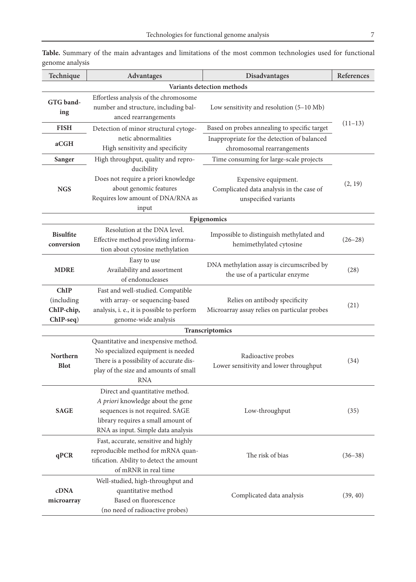| Technique                                                   | <b>Advantages</b>                                                                                                                                                                   | Disadvantages                                                                            | References  |  |  |
|-------------------------------------------------------------|-------------------------------------------------------------------------------------------------------------------------------------------------------------------------------------|------------------------------------------------------------------------------------------|-------------|--|--|
| Variants detection methods                                  |                                                                                                                                                                                     |                                                                                          |             |  |  |
| <b>GTG</b> band-<br>ing                                     | Effortless analysis of the chromosome<br>number and structure, including bal-<br>anced rearrangements                                                                               | Low sensitivity and resolution (5-10 Mb)                                                 |             |  |  |
| <b>FISH</b>                                                 | Detection of minor structural cytoge-                                                                                                                                               | Based on probes annealing to specific target                                             | $(11-13)$   |  |  |
| aCGH                                                        | netic abnormalities<br>High sensitivity and specificity                                                                                                                             | Inappropriate for the detection of balanced<br>chromosomal rearrangements                |             |  |  |
| Sanger                                                      | High throughput, quality and repro-                                                                                                                                                 | Time consuming for large-scale projects                                                  |             |  |  |
| <b>NGS</b>                                                  | ducibility<br>Does not require a priori knowledge<br>about genomic features<br>Requires low amount of DNA/RNA as<br>input                                                           | Expensive equipment.<br>Complicated data analysis in the case of<br>unspecified variants | (2, 19)     |  |  |
| Epigenomics                                                 |                                                                                                                                                                                     |                                                                                          |             |  |  |
| <b>Bisulfite</b><br>conversion                              | Resolution at the DNA level.<br>Effective method providing informa-<br>tion about cytosine methylation                                                                              | Impossible to distinguish methylated and<br>hemimethylated cytosine                      | $(26 - 28)$ |  |  |
| <b>MDRE</b>                                                 | Easy to use<br>Availability and assortment<br>of endonucleases                                                                                                                      | DNA methylation assay is circumscribed by<br>the use of a particular enzyme              | (28)        |  |  |
| <b>ChIP</b><br><i>(including</i><br>ChIP-chip,<br>ChIP-seq) | Fast and well-studied. Compatible<br>with array- or sequencing-based<br>analysis, i. e., it is possible to perform<br>genome-wide analysis                                          | Relies on antibody specificity<br>Microarray assay relies on particular probes           | (21)        |  |  |
| Transcriptomics                                             |                                                                                                                                                                                     |                                                                                          |             |  |  |
| Northern<br><b>Blot</b>                                     | Quantitative and inexpensive method.<br>No specialized equipment is needed<br>There is a possibility of accurate dis-<br>play of the size and amounts of small<br><b>RNA</b>        | Radioactive probes<br>Lower sensitivity and lower throughput                             | (34)        |  |  |
| <b>SAGE</b>                                                 | Direct and quantitative method.<br>A priori knowledge about the gene<br>sequences is not required. SAGE<br>library requires a small amount of<br>RNA as input. Simple data analysis | Low-throughput                                                                           | (35)        |  |  |
| qPCR                                                        | Fast, accurate, sensitive and highly<br>reproducible method for mRNA quan-<br>tification. Ability to detect the amount<br>of mRNR in real time                                      | The risk of bias                                                                         | $(36 - 38)$ |  |  |
| cDNA<br>microarray                                          | Well-studied, high-throughput and<br>quantitative method<br>Based on fluorescence<br>(no need of radioactive probes)                                                                | Complicated data analysis                                                                | (39, 40)    |  |  |

**Table.** Summary of the main advantages and limitations of the most common technologies used for functional genome analysis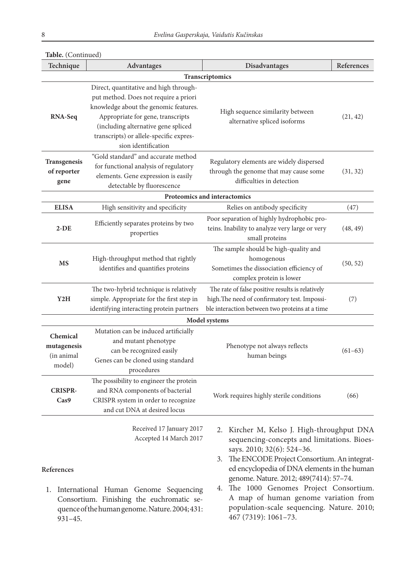| Transcriptomics<br>Direct, quantitative and high through-<br>put method. Does not require a priori<br>knowledge about the genomic features.<br>High sequence similarity between<br>Appropriate for gene, transcripts<br>RNA-Seq<br>alternative spliced isoforms<br>(including alternative gene spliced<br>transcripts) or allele-specific expres-<br>sion identification<br>"Gold standard" and accurate method<br><b>Transgenesis</b><br>Regulatory elements are widely dispersed<br>for functional analysis of regulatory<br>through the genome that may cause some<br>of reporter<br>elements. Gene expression is easily<br>difficulties in detection<br>gene<br>detectable by fluorescence<br>Proteomics and interactomics<br><b>ELISA</b><br>Relies on antibody specificity<br>High sensitivity and specificity<br>(47)<br>Poor separation of highly hydrophobic pro-<br>Efficiently separates proteins by two<br>teins. Inability to analyze very large or very<br>$2-DE$<br>properties<br>small proteins<br>The sample should be high-quality and<br>High-throughput method that rightly<br>homogenous<br><b>MS</b><br>Sometimes the dissociation efficiency of<br>identifies and quantifies proteins<br>complex protein is lower<br>The two-hybrid technique is relatively<br>The rate of false positive results is relatively<br>high. The need of confirmatory test. Impossi-<br>simple. Appropriate for the first step in<br>Y2H<br>(7)<br>ble interaction between two proteins at a time<br>identifying interacting protein partners<br>Model systems<br>Mutation can be induced artificially<br>Chemical<br>and mutant phenotype<br>mutagenesis<br>Phenotype not always reflects<br>can be recognized easily<br>human beings<br>(in animal<br>Genes can be cloned using standard<br>model)<br>procedures<br>The possibility to engineer the protein<br>and RNA components of bacterial<br><b>CRISPR-</b><br>Work requires highly sterile conditions<br>(66)<br>CRISPR system in order to recognize<br>Cas9<br>and cut DNA at desired locus<br>Received 17 January 2017<br>2.<br>Accepted 14 March 2017<br>says. 2010; 32(6): 524-36. | Technique                                      | Advantages | Disadvantages                                                                                                                                                                                                                                                                                                       | References |  |  |
|---------------------------------------------------------------------------------------------------------------------------------------------------------------------------------------------------------------------------------------------------------------------------------------------------------------------------------------------------------------------------------------------------------------------------------------------------------------------------------------------------------------------------------------------------------------------------------------------------------------------------------------------------------------------------------------------------------------------------------------------------------------------------------------------------------------------------------------------------------------------------------------------------------------------------------------------------------------------------------------------------------------------------------------------------------------------------------------------------------------------------------------------------------------------------------------------------------------------------------------------------------------------------------------------------------------------------------------------------------------------------------------------------------------------------------------------------------------------------------------------------------------------------------------------------------------------------------------------------------------------------------------------------------------------------------------------------------------------------------------------------------------------------------------------------------------------------------------------------------------------------------------------------------------------------------------------------------------------------------------------------------------------------------------------------------------------------------------------------------------------------------------------------|------------------------------------------------|------------|---------------------------------------------------------------------------------------------------------------------------------------------------------------------------------------------------------------------------------------------------------------------------------------------------------------------|------------|--|--|
|                                                                                                                                                                                                                                                                                                                                                                                                                                                                                                                                                                                                                                                                                                                                                                                                                                                                                                                                                                                                                                                                                                                                                                                                                                                                                                                                                                                                                                                                                                                                                                                                                                                                                                                                                                                                                                                                                                                                                                                                                                                                                                                                                   |                                                |            |                                                                                                                                                                                                                                                                                                                     |            |  |  |
|                                                                                                                                                                                                                                                                                                                                                                                                                                                                                                                                                                                                                                                                                                                                                                                                                                                                                                                                                                                                                                                                                                                                                                                                                                                                                                                                                                                                                                                                                                                                                                                                                                                                                                                                                                                                                                                                                                                                                                                                                                                                                                                                                   |                                                |            |                                                                                                                                                                                                                                                                                                                     | (21, 42)   |  |  |
|                                                                                                                                                                                                                                                                                                                                                                                                                                                                                                                                                                                                                                                                                                                                                                                                                                                                                                                                                                                                                                                                                                                                                                                                                                                                                                                                                                                                                                                                                                                                                                                                                                                                                                                                                                                                                                                                                                                                                                                                                                                                                                                                                   |                                                |            |                                                                                                                                                                                                                                                                                                                     | (31, 32)   |  |  |
|                                                                                                                                                                                                                                                                                                                                                                                                                                                                                                                                                                                                                                                                                                                                                                                                                                                                                                                                                                                                                                                                                                                                                                                                                                                                                                                                                                                                                                                                                                                                                                                                                                                                                                                                                                                                                                                                                                                                                                                                                                                                                                                                                   |                                                |            |                                                                                                                                                                                                                                                                                                                     |            |  |  |
|                                                                                                                                                                                                                                                                                                                                                                                                                                                                                                                                                                                                                                                                                                                                                                                                                                                                                                                                                                                                                                                                                                                                                                                                                                                                                                                                                                                                                                                                                                                                                                                                                                                                                                                                                                                                                                                                                                                                                                                                                                                                                                                                                   |                                                |            |                                                                                                                                                                                                                                                                                                                     |            |  |  |
|                                                                                                                                                                                                                                                                                                                                                                                                                                                                                                                                                                                                                                                                                                                                                                                                                                                                                                                                                                                                                                                                                                                                                                                                                                                                                                                                                                                                                                                                                                                                                                                                                                                                                                                                                                                                                                                                                                                                                                                                                                                                                                                                                   |                                                |            |                                                                                                                                                                                                                                                                                                                     | (48, 49)   |  |  |
|                                                                                                                                                                                                                                                                                                                                                                                                                                                                                                                                                                                                                                                                                                                                                                                                                                                                                                                                                                                                                                                                                                                                                                                                                                                                                                                                                                                                                                                                                                                                                                                                                                                                                                                                                                                                                                                                                                                                                                                                                                                                                                                                                   |                                                |            |                                                                                                                                                                                                                                                                                                                     | (50, 52)   |  |  |
|                                                                                                                                                                                                                                                                                                                                                                                                                                                                                                                                                                                                                                                                                                                                                                                                                                                                                                                                                                                                                                                                                                                                                                                                                                                                                                                                                                                                                                                                                                                                                                                                                                                                                                                                                                                                                                                                                                                                                                                                                                                                                                                                                   |                                                |            |                                                                                                                                                                                                                                                                                                                     |            |  |  |
|                                                                                                                                                                                                                                                                                                                                                                                                                                                                                                                                                                                                                                                                                                                                                                                                                                                                                                                                                                                                                                                                                                                                                                                                                                                                                                                                                                                                                                                                                                                                                                                                                                                                                                                                                                                                                                                                                                                                                                                                                                                                                                                                                   |                                                |            |                                                                                                                                                                                                                                                                                                                     |            |  |  |
|                                                                                                                                                                                                                                                                                                                                                                                                                                                                                                                                                                                                                                                                                                                                                                                                                                                                                                                                                                                                                                                                                                                                                                                                                                                                                                                                                                                                                                                                                                                                                                                                                                                                                                                                                                                                                                                                                                                                                                                                                                                                                                                                                   |                                                |            |                                                                                                                                                                                                                                                                                                                     | $(61-63)$  |  |  |
|                                                                                                                                                                                                                                                                                                                                                                                                                                                                                                                                                                                                                                                                                                                                                                                                                                                                                                                                                                                                                                                                                                                                                                                                                                                                                                                                                                                                                                                                                                                                                                                                                                                                                                                                                                                                                                                                                                                                                                                                                                                                                                                                                   |                                                |            |                                                                                                                                                                                                                                                                                                                     |            |  |  |
| 3.<br>References<br>genome. Nature. 2012; 489(7414): 57-74.<br>4.<br>International Human Genome Sequencing<br>1.<br>Consortium. Finishing the euchromatic se-                                                                                                                                                                                                                                                                                                                                                                                                                                                                                                                                                                                                                                                                                                                                                                                                                                                                                                                                                                                                                                                                                                                                                                                                                                                                                                                                                                                                                                                                                                                                                                                                                                                                                                                                                                                                                                                                                                                                                                                     | quence of the human genome. Nature. 2004; 431: |            | Kircher M, Kelso J. High-throughput DNA<br>sequencing-concepts and limitations. Bioes-<br>The ENCODE Project Consortium. An integrat-<br>ed encyclopedia of DNA elements in the human<br>The 1000 Genomes Project Consortium.<br>A map of human genome variation from<br>population-scale sequencing. Nature. 2010; |            |  |  |

## **Table.** (Continued)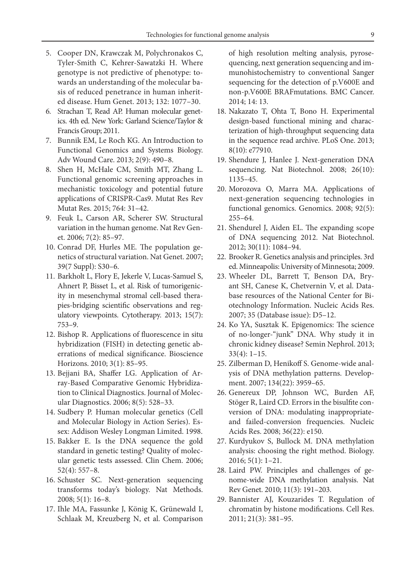- 5. Cooper DN, Krawczak M, Polychronakos C, Tyler-Smith C, Kehrer-Sawatzki H. Where genotype is not predictive of phenotype: towards an understanding of the molecular basis of reduced penetrance in human inherited disease. Hum Genet. 2013; 132: 1077–30.
- 6. Strachan T, Read AP. Human molecular genetics. 4th ed. New York: Garland Science/Taylor & Francis Group; 2011.
- 7. Bunnik EM, Le Roch KG. An Introduction to Functional Genomics and Systems Biology. Adv Wound Care. 2013; 2(9): 490–8.
- 8. Shen H, McHale CM, Smith MT, Zhang L. Functional genomic screening approaches in mechanistic toxicology and potential future applications of CRISPR-Cas9. Mutat Res Rev Mutat Res. 2015; 764: 31–42.
- 9. Feuk L, Carson AR, Scherer SW. Structural variation in the human genome. Nat Rev Genet. 2006; 7(2): 85–97.
- 10. Conrad DF, Hurles ME. The population genetics of structural variation. Nat Genet. 2007; 39(7 Suppl): S30–6.
- 11. Barkholt L, Flory E, Jekerle V, Lucas-Samuel S, Ahnert P, Bisset L, et al. Risk of tumorigenicity in mesenchymal stromal cell-based therapies-bridging scientific observations and regulatory viewpoints. Cytotherapy. 2013; 15(7): 753–9.
- 12. Bishop R. Applications of fluorescence in situ hybridization (FISH) in detecting genetic aberrations of medical significance. Bioscience Horizons. 2010; 3(1): 85–95.
- 13. Bejjani BA, Shaffer LG. Application of Array-Based Comparative Genomic Hybridization to Clinical Diagnostics. Journal of Molecular Diagnostics. 2006; 8(5): 528–33.
- 14. Sudbery P. Human molecular genetics (Cell and Molecular Biology in Action Series). Essex: Addison Wesley Longman Limited. 1998.
- 15. Bakker E. Is the DNA sequence the gold standard in genetic testing? Quality of molecular genetic tests assessed. Clin Chem. 2006; 52(4): 557–8.
- 16. Schuster SC. Next-generation sequencing transforms today's biology. Nat Methods. 2008; 5(1): 16–8.
- 17. Ihle MA, Fassunke J, König K, Grünewald I, Schlaak M, Kreuzberg N, et al. Comparison

of high resolution melting analysis, pyrosequencing, next generation sequencing and immunohistochemistry to conventional Sanger sequencing for the detection of p.V600E and non-p.V600E BRAFmutations. BMC Cancer. 2014; 14: 13.

- 18. Nakazato T, Ohta T, Bono H. Experimental design-based functional mining and characterization of high-throughput sequencing data in the sequence read archive. PLoS One. 2013; 8(10): e77910.
- 19. Shendure J, Hanlee J. Next-generation DNA sequencing. Nat Biotechnol. 2008; 26(10): 1135–45.
- 20. Morozova O, Marra MA. Applications of next-generation sequencing technologies in functional genomics. Genomics. 2008; 92(5): 255–64.
- 21. Shendurel J, Aiden EL. The expanding scope of DNA sequencing 2012. Nat Biotechnol. 2012; 30(11): 1084–94.
- 22. Brooker R. Genetics analysis and principles. 3rd ed. Minneapolis: University of Minnesota; 2009.
- 23. Wheeler DL, Barrett T, Benson DA, Bryant SH, Canese K, Chetvernin V, et al. Database resources of the National Center for Biotechnology Information. Nucleic Acids Res. 2007; 35 (Database issue): D5–12.
- 24. Ko YA, Susztak K. Epigenomics: The science of no-longer-"junk" DNA. Why study it in chronic kidney disease? Semin Nephrol. 2013; 33(4): 1–15.
- 25. Zilberman D, Henikoff S. Genome-wide analysis of DNA methylation patterns. Development. 2007; 134(22): 3959–65.
- 26. Genereux DP, Johnson WC, Burden AF, Stöger R, Laird CD. Errors in the bisulfite conversion of DNA: modulating inappropriateand failed-conversion frequencies. Nucleic Acids Res. 2008; 36(22): e150.
- 27. Kurdyukov S, Bullock M. DNA methylation analysis: choosing the right method. Biology. 2016; 5(1): 1–21.
- 28. Laird PW. Principles and challenges of genome-wide DNA methylation analysis. Nat Rev Genet. 2010; 11(3): 191–203.
- 29. Bannister AJ, Kouzarides T. Regulation of chromatin by histone modifications. Cell Res. 2011; 21(3): 381–95.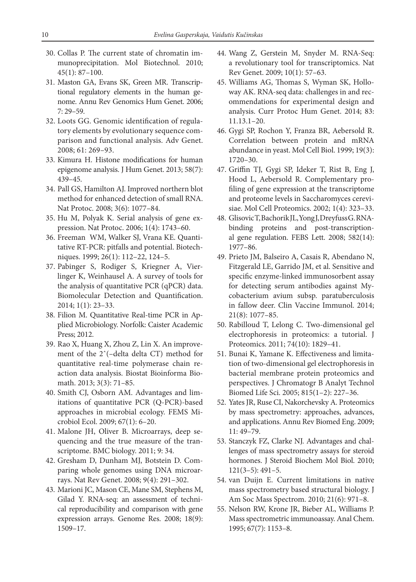- 30. Collas P. The current state of chromatin immunoprecipitation. Mol Biotechnol. 2010; 45(1): 87–100.
- 31. Maston GA, Evans SK, Green MR. Transcriptional regulatory elements in the human genome. Annu Rev Genomics Hum Genet. 2006; 7: 29–59.
- 32. Loots GG. Genomic identification of regulatory elements by evolutionary sequence comparison and functional analysis. Adv Genet. 2008; 61: 269–93.
- 33. Kimura H. Histone modifications for human epigenome analysis. J Hum Genet. 2013; 58(7): 439–45.
- 34. Pall GS, Hamilton AJ. Improved northern blot method for enhanced detection of small RNA. Nat Protoc. 2008; 3(6): 1077–84.
- 35. Hu M, Polyak K. Serial analysis of gene expression. Nat Protoc. 2006; 1(4): 1743–60.
- 36. Freeman WM, Walker SJ, Vrana KE. Quantitative RT-PCR: pitfalls and potential. Biotechniques. 1999; 26(1): 112–22, 124–5.
- 37. Pabinger S, Rodiger S, Kriegner A, Vierlinger K, Weinhausel A. A survey of tools for the analysis of quantitative PCR (qPCR) data. Biomolecular Detection and Quantification. 2014; 1(1): 23–33.
- 38. Filion M. Quantitative Real-time PCR in Applied Microbiology. Norfolk: Caister Academic Press; 2012.
- 39. Rao X, Huang X, Zhou Z, Lin X. An improvement of the 2ˆ(–delta delta CT) method for quantitative real-time polymerase chain reaction data analysis. Biostat Bioinforma Biomath. 2013; 3(3): 71–85.
- 40. Smith CJ, Osborn AM. Advantages and limitations of quantitative PCR (Q-PCR)-based approaches in microbial ecology. FEMS Microbiol Ecol. 2009; 67(1): 6–20.
- 41. Malone JH, Oliver B. Microarrays, deep sequencing and the true measure of the transcriptome. BMC biology. 2011; 9: 34.
- 42. Gresham D, Dunham MJ, Botstein D. Comparing whole genomes using DNA microarrays. Nat Rev Genet. 2008; 9(4): 291–302.
- 43. Marioni JC, Mason CE, Mane SM, Stephens M, Gilad Y. RNA-seq: an assessment of technical reproducibility and comparison with gene expression arrays. Genome Res. 2008; 18(9): 1509–17.
- 44. Wang Z, Gerstein M, Snyder M. RNA-Seq: a revolutionary tool for transcriptomics. Nat Rev Genet. 2009; 10(1): 57–63.
- 45. Williams AG, Thomas S, Wyman SK, Holloway AK. RNA-seq data: challenges in and recommendations for experimental design and analysis. Curr Protoc Hum Genet. 2014; 83: 11.13.1–20.
- 46. Gygi SP, Rochon Y, Franza BR, Aebersold R. Correlation between protein and mRNA abundance in yeast. Mol Cell Biol. 1999; 19(3): 1720–30.
- 47. Griffin TJ, Gygi SP, Ideker T, Rist B, Eng J, Hood L, Aebersold R. Complementary profiling of gene expression at the transcriptome and proteome levels in Saccharomyces cerevisiae. Mol Cell Proteomics. 2002; 1(4): 323–33.
- 48. Glisovic T, Bachorik JL, Yong J, Dreyfuss G. RNAbinding proteins and post-transcriptional gene regulation. FEBS Lett. 2008; 582(14): 1977–86.
- 49. Prieto JM, Balseiro A, Casais R, Abendano N, Fitzgerald LE, Garrido JM, et al. Sensitive and specific enzyme-linked immunosorbent assay for detecting serum antibodies against Mycobacterium avium subsp. paratuberculosis in fallow deer. Clin Vaccine Immunol. 2014; 21(8): 1077–85.
- 50. Rabilloud T, Lelong C. Two-dimensional gel electrophoresis in proteomics: a tutorial. J Proteomics. 2011; 74(10): 1829–41.
- 51. Bunai K, Yamane K. Effectiveness and limitation of two-dimensional gel electrophoresis in bacterial membrane protein proteomics and perspectives. J Chromatogr B Analyt Technol Biomed Life Sci. 2005; 815(1–2): 227–36.
- 52. Yates JR, Ruse CI, Nakorchevsky A. Proteomics by mass spectrometry: approaches, advances, and applications. Annu Rev Biomed Eng. 2009; 11: 49–79.
- 53. Stanczyk FZ, Clarke NJ. Advantages and challenges of mass spectrometry assays for steroid hormones. J Steroid Biochem Mol Biol. 2010; 121(3–5): 491–5.
- 54. van Duijn E. Current limitations in native mass spectrometry based structural biology. J Am Soc Mass Spectrom. 2010; 21(6): 971–8.
- 55. Nelson RW, Krone JR, Bieber AL, Williams P. Mass spectrometric immunoassay. Anal Chem. 1995; 67(7): 1153–8.